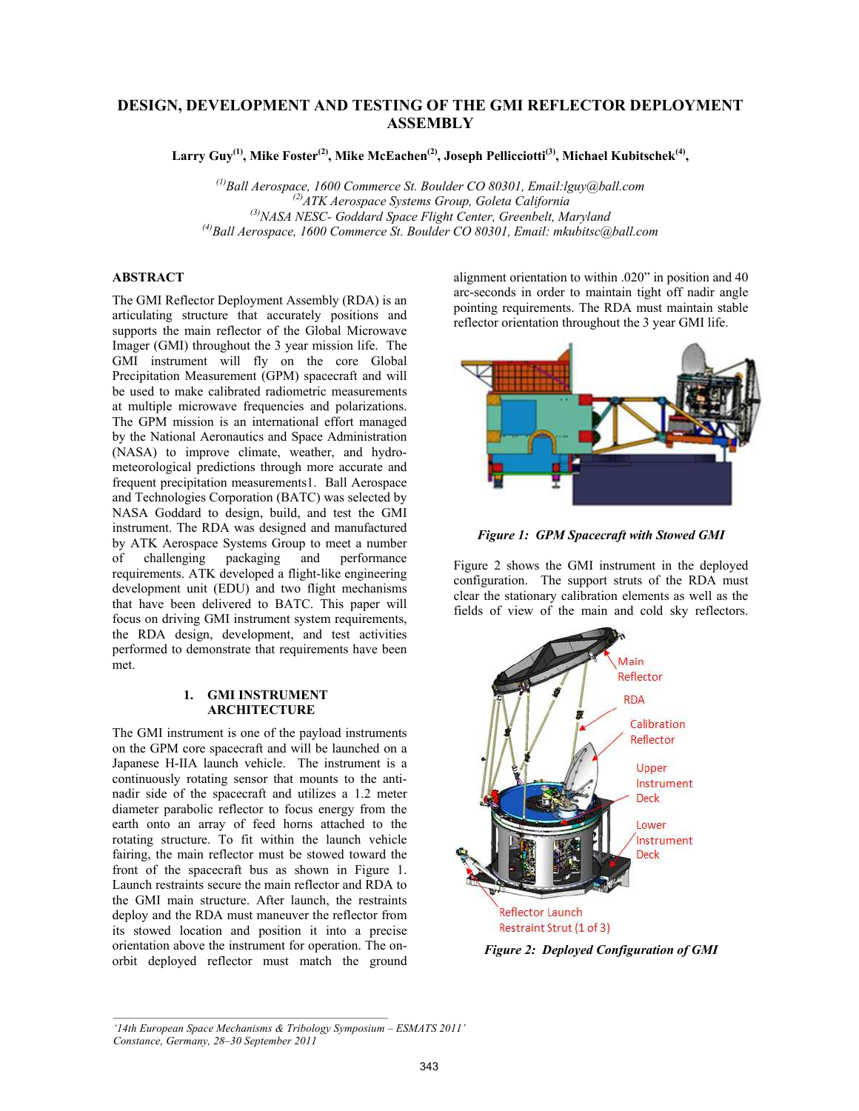# DESIGN, DEVELOPMENT AND TESTING OF THE GMI REFLECTOR DEPLOYMENT **ASSEMBLY**

Larry Guy<sup>(1)</sup>, Mike Foster<sup>(2)</sup>, Mike McEachen<sup>(2)</sup>, Joseph Pellicciotti<sup>(3)</sup>, Michael Kubitschek<sup>(4)</sup>,

 $^{(1)}$ Ball Aerospace, 1600 Commerce St. Boulder CO 80301, Email:lguy@ball.com  $^{(2)}$ ATK Aerospace Systems Group, Goleta California  $^{(3)}$ NASA NESC- Goddard Space Flight Center, Greenbelt, Maryland  $^{(4)}$ Ball Aerospace, 1600 Commerce St. Boulder CO 80301, Email: mkubitsc@ball.com

# ABSTRACT

The GMI Reflector Deployment Assembly (RDA) is an articulating structure that accurately positions and supports the main reflector of the Global Microwave Imager (GMI) throughout the 3 year mission life. The GMI instrument will fly on the core Global Precipitation Measurement (GPM) spacecraft and will be used to make calibrated radiometric measurements at multiple microwave frequencies and polarizations. The GPM mission is an international effort managed by the National Aeronautics and Space Administration (NASA) to improve climate, weather, and hydrometeorological predictions through more accurate and frequent precipitation measurements1. Ball Aerospace and Technologies Corporation (BATC) was selected by NASA Goddard to design, build, and test the GMI instrument. The RDA was designed and manufactured by ATK Aerospace Systems Group to meet a number of challenging packaging and performance requirements. ATK developed a flight-like engineering development unit (EDU) and two flight mechanisms that have been delivered to BATC. This paper will focus on driving GMI instrument system requirements, the RDA design, development, and test activities performed to demonstrate that requirements have been met.

#### 1. GMI INSTRUMENT **ARCHITECTURE**

The GMI instrument is one of the payload instruments on the GPM core spacecraft and will be launched on a Japanese H-IIA launch vehicle. The instrument is a continuously rotating sensor that mounts to the antinadir side of the spacecraft and utilizes a 1.2 meter diameter parabolic reflector to focus energy from the earth onto an array of feed horns attached to the rotating structure. To fit within the launch vehicle fairing, the main reflector must be stowed toward the front of the spacecraft bus as shown in Figure 1. Launch restraints secure the main reflector and RDA to the GMI main structure. After launch, the restraints deploy and the RDA must maneuver the reflector from its stowed location and position it into a precise orientation above the instrument for operation. The onorbit deployed reflector must match the ground

alignment orientation to within .020" in position and 40 arc-seconds in order to maintain tight off nadir angle pointing requirements. The RDA must maintain stable reflector orientation throughout the 3 year GMI life.



Figure 1: GPM Spacecraft with Stowed GMI

Figure 2 shows the GMI instrument in the deployed configuration. The support struts of the RDA must clear the stationary calibration elements as well as the fields of view of the main and cold sky reflectors.



Figure 2: Deployed Configuration of GMI

*'14th European Space Mechanisms & Tribology Symposium – ESMATS 2011' Constance, Germany, 28–30 September 2011*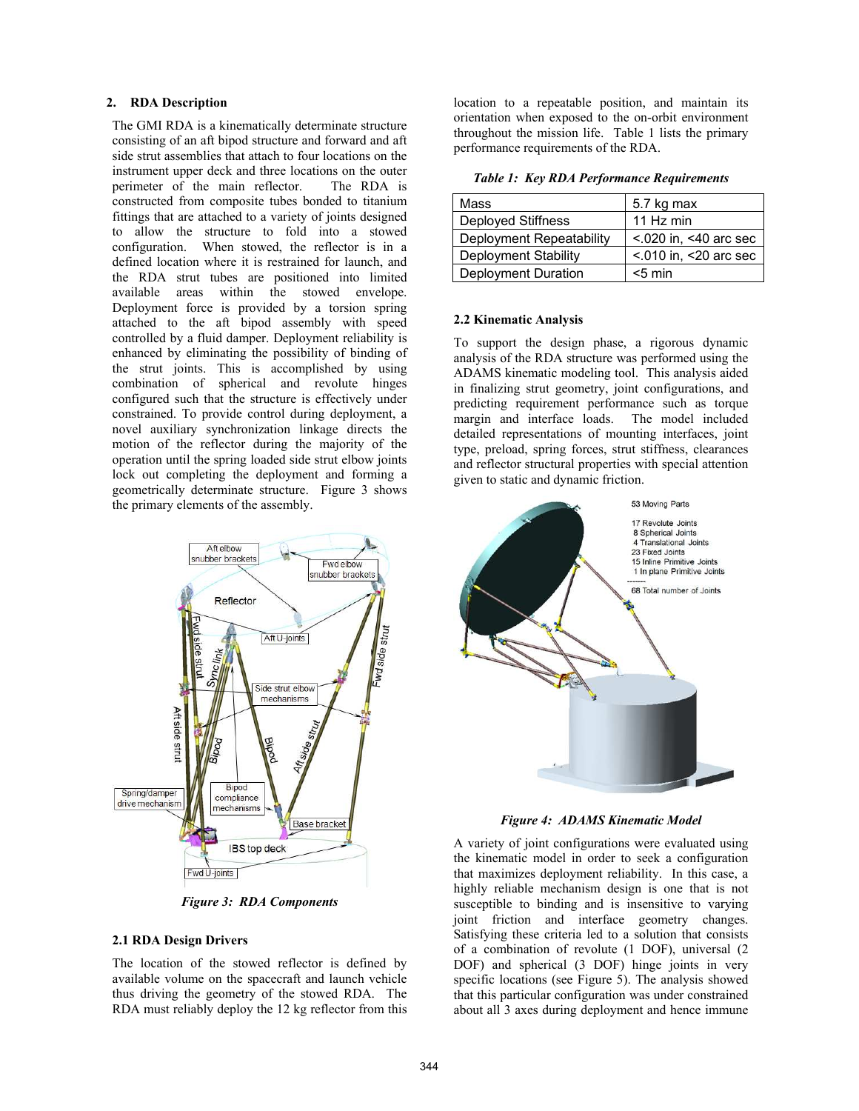#### 2. RDA Description

The GMI RDA is a kinematically determinate structure consisting of an aft bipod structure and forward and aft side strut assemblies that attach to four locations on the instrument upper deck and three locations on the outer perimeter of the main reflector. The RDA is constructed from composite tubes bonded to titanium fittings that are attached to a variety of joints designed to allow the structure to fold into a stowed configuration. When stowed, the reflector is in a defined location where it is restrained for launch, and the RDA strut tubes are positioned into limited available areas within the stowed envelope. Deployment force is provided by a torsion spring attached to the aft bipod assembly with speed controlled by a fluid damper. Deployment reliability is enhanced by eliminating the possibility of binding of the strut joints. This is accomplished by using combination of spherical and revolute hinges configured such that the structure is effectively under constrained. To provide control during deployment, a novel auxiliary synchronization linkage directs the motion of the reflector during the majority of the operation until the spring loaded side strut elbow joints lock out completing the deployment and forming a geometrically determinate structure. Figure 3 shows the primary elements of the assembly.



Figure 3: RDA Components

#### 2.1 RDA Design Drivers

The location of the stowed reflector is defined by available volume on the spacecraft and launch vehicle thus driving the geometry of the stowed RDA. The RDA must reliably deploy the 12 kg reflector from this location to a repeatable position, and maintain its orientation when exposed to the on-orbit environment throughout the mission life. Table 1 lists the primary performance requirements of the RDA.

Table 1: Key RDA Performance Requirements

| Mass                     | 5.7 kg max                   |  |
|--------------------------|------------------------------|--|
| Deployed Stiffness       | 11 $Hz$ min                  |  |
| Deployment Repeatability | $< 0.020$ in, $< 40$ arc sec |  |
| Deployment Stability     | $< 010$ in, $< 20$ arc sec   |  |
| Deployment Duration      | $<$ 5 min                    |  |

#### 2.2 Kinematic Analysis

To support the design phase, a rigorous dynamic analysis of the RDA structure was performed using the ADAMS kinematic modeling tool. This analysis aided in finalizing strut geometry, joint configurations, and predicting requirement performance such as torque margin and interface loads. The model included detailed representations of mounting interfaces, joint type, preload, spring forces, strut stiffness, clearances and reflector structural properties with special attention given to static and dynamic friction.



Figure 4: ADAMS Kinematic Model

A variety of joint configurations were evaluated using the kinematic model in order to seek a configuration that maximizes deployment reliability. In this case, a highly reliable mechanism design is one that is not susceptible to binding and is insensitive to varying joint friction and interface geometry changes. Satisfying these criteria led to a solution that consists of a combination of revolute (1 DOF), universal (2 DOF) and spherical (3 DOF) hinge joints in very specific locations (see Figure 5). The analysis showed that this particular configuration was under constrained about all 3 axes during deployment and hence immune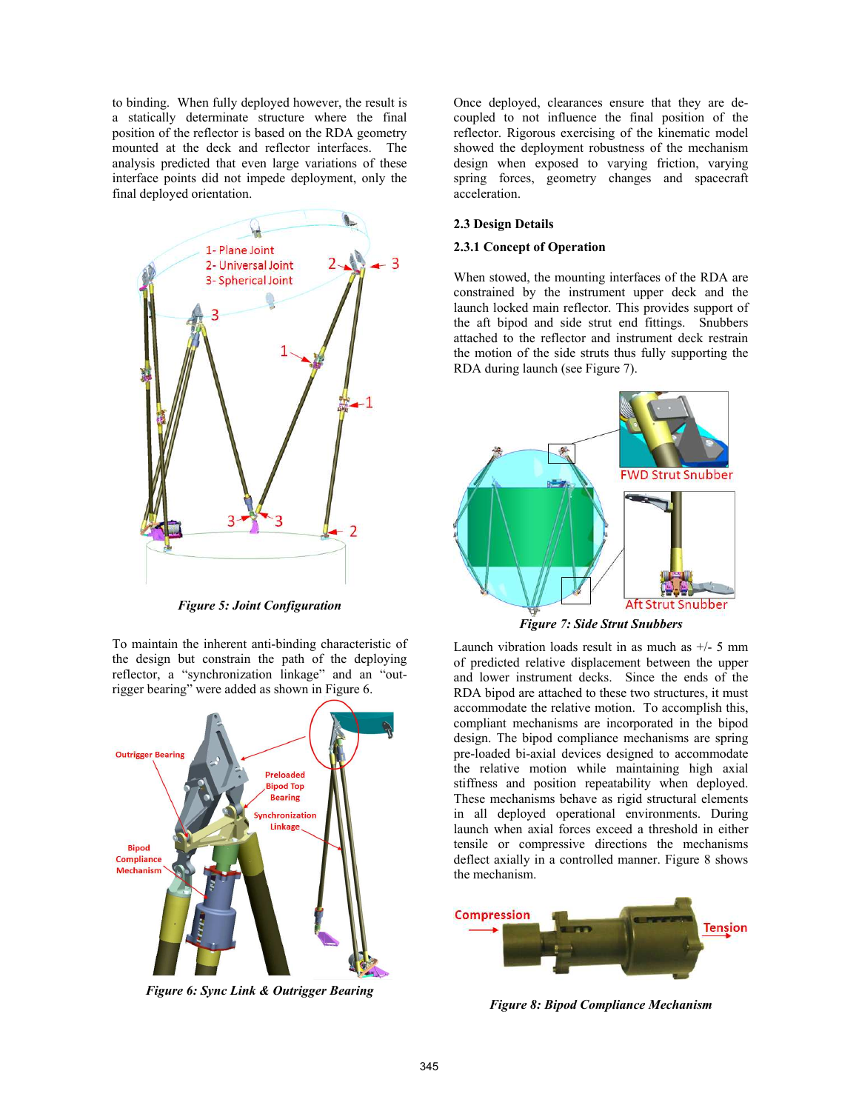to binding. When fully deployed however, the result is a statically determinate structure where the final position of the reflector is based on the RDA geometry mounted at the deck and reflector interfaces. The analysis predicted that even large variations of these interface points did not impede deployment, only the final deployed orientation.



Figure 5: Joint Configuration

To maintain the inherent anti-binding characteristic of the design but constrain the path of the deploying reflector, a "synchronization linkage" and an "outrigger bearing" were added as shown in Figure 6.



Figure 6: Sync Link & Outrigger Bearing

Once deployed, clearances ensure that they are decoupled to not influence the final position of the reflector. Rigorous exercising of the kinematic model showed the deployment robustness of the mechanism design when exposed to varying friction, varying spring forces, geometry changes and spacecraft acceleration.

#### 2.3 Design Details

#### 2.3.1 Concept of Operation

When stowed, the mounting interfaces of the RDA are constrained by the instrument upper deck and the launch locked main reflector. This provides support of the aft bipod and side strut end fittings. Snubbers attached to the reflector and instrument deck restrain the motion of the side struts thus fully supporting the RDA during launch (see Figure 7).



Figure 7: Side Strut Snubbers

Launch vibration loads result in as much as  $+/-$  5 mm of predicted relative displacement between the upper and lower instrument decks. Since the ends of the RDA bipod are attached to these two structures, it must accommodate the relative motion. To accomplish this, compliant mechanisms are incorporated in the bipod design. The bipod compliance mechanisms are spring pre-loaded bi-axial devices designed to accommodate the relative motion while maintaining high axial stiffness and position repeatability when deployed. These mechanisms behave as rigid structural elements in all deployed operational environments. During launch when axial forces exceed a threshold in either tensile or compressive directions the mechanisms deflect axially in a controlled manner. Figure 8 shows the mechanism.



Figure 8: Bipod Compliance Mechanism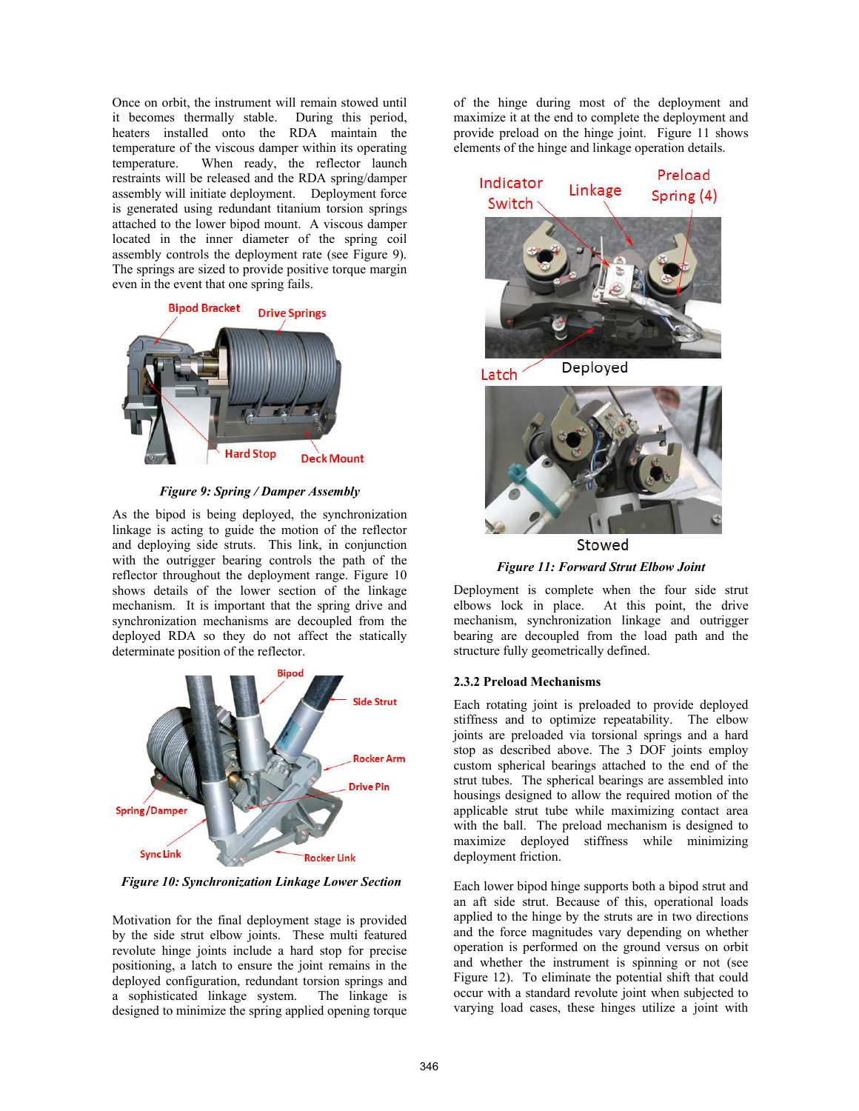Once on orbit, the instrument will remain stowed until it becomes thermally stable. During this period, heaters installed onto the RDA maintain the temperature of the viscous damper within its operating temperature. When ready, the reflector launch restraints will be released and the RDA spring/damper assembly will initiate deployment. Deployment force is generated using redundant titanium torsion springs attached to the lower bipod mount. A viscous damper located in the inner diameter of the spring coil assembly controls the deployment rate (see Figure 9). The springs are sized to provide positive torque margin even in the event that one spring fails.



Figure 9: Spring / Damper Assembly

As the bipod is being deployed, the synchronization linkage is acting to guide the motion of the reflector and deploying side struts. This link, in conjunction with the outrigger bearing controls the path of the reflector throughout the deployment range. Figure 10 shows details of the lower section of the linkage mechanism. It is important that the spring drive and synchronization mechanisms are decoupled from the deployed RDA so they do not affect the statically determinate position of the reflector.



Figure 10: Synchronization Linkage Lower Section

Motivation for the final deployment stage is provided by the side strut elbow joints. These multi featured revolute hinge joints include a hard stop for precise positioning, a latch to ensure the joint remains in the deployed configuration, redundant torsion springs and a sophisticated linkage system. The linkage is designed to minimize the spring applied opening torque

of the hinge during most of the deployment and maximize it at the end to complete the deployment and provide preload on the hinge joint. Figure 11 shows elements of the hinge and linkage operation details.



Stowed

Figure 11: Forward Strut Elbow Joint

Deployment is complete when the four side strut elbows lock in place. At this point, the drive mechanism, synchronization linkage and outrigger bearing are decoupled from the load path and the structure fully geometrically defined.

## 2.3.2 Preload Mechanisms

Each rotating joint is preloaded to provide deployed stiffness and to optimize repeatability. The elbow joints are preloaded via torsional springs and a hard stop as described above. The 3 DOF joints employ custom spherical bearings attached to the end of the strut tubes. The spherical bearings are assembled into housings designed to allow the required motion of the applicable strut tube while maximizing contact area with the ball. The preload mechanism is designed to maximize deployed stiffness while minimizing deployment friction.

Each lower bipod hinge supports both a bipod strut and an aft side strut. Because of this, operational loads applied to the hinge by the struts are in two directions and the force magnitudes vary depending on whether operation is performed on the ground versus on orbit and whether the instrument is spinning or not (see Figure 12). To eliminate the potential shift that could occur with a standard revolute joint when subjected to varying load cases, these hinges utilize a joint with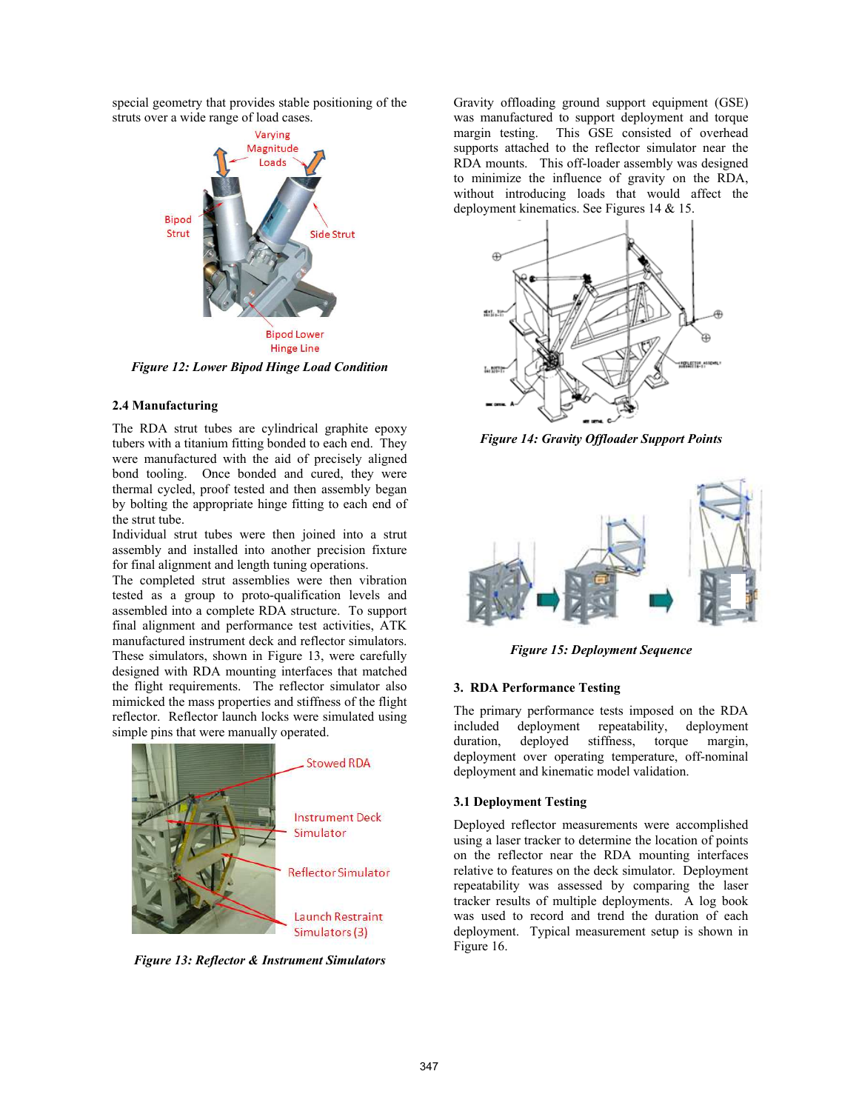special geometry that provides stable positioning of the struts over a wide range of load cases.



Figure 12: Lower Bipod Hinge Load Condition

## 2.4 Manufacturing

The RDA strut tubes are cylindrical graphite epoxy tubers with a titanium fitting bonded to each end. They were manufactured with the aid of precisely aligned bond tooling. Once bonded and cured, they were thermal cycled, proof tested and then assembly began by bolting the appropriate hinge fitting to each end of the strut tube.

Individual strut tubes were then joined into a strut assembly and installed into another precision fixture for final alignment and length tuning operations.

The completed strut assemblies were then vibration tested as a group to proto-qualification levels and assembled into a complete RDA structure. To support final alignment and performance test activities, ATK manufactured instrument deck and reflector simulators. These simulators, shown in Figure 13, were carefully designed with RDA mounting interfaces that matched the flight requirements. The reflector simulator also mimicked the mass properties and stiffness of the flight reflector. Reflector launch locks were simulated using simple pins that were manually operated.



Figure 13: Reflector & Instrument Simulators

Gravity offloading ground support equipment (GSE) was manufactured to support deployment and torque margin testing. This GSE consisted of overhead supports attached to the reflector simulator near the RDA mounts. This off-loader assembly was designed to minimize the influence of gravity on the RDA, without introducing loads that would affect the deployment kinematics. See Figures 14 & 15.



Figure 14: Gravity Offloader Support Points



Figure 15: Deployment Sequence

## 3. RDA Performance Testing

The primary performance tests imposed on the RDA included deployment repeatability, deployment duration, deployed stiffness, torque margin, deployment over operating temperature, off-nominal deployment and kinematic model validation.

## 3.1 Deployment Testing

Deployed reflector measurements were accomplished using a laser tracker to determine the location of points on the reflector near the RDA mounting interfaces relative to features on the deck simulator. Deployment repeatability was assessed by comparing the laser tracker results of multiple deployments. A log book was used to record and trend the duration of each deployment. Typical measurement setup is shown in Figure 16.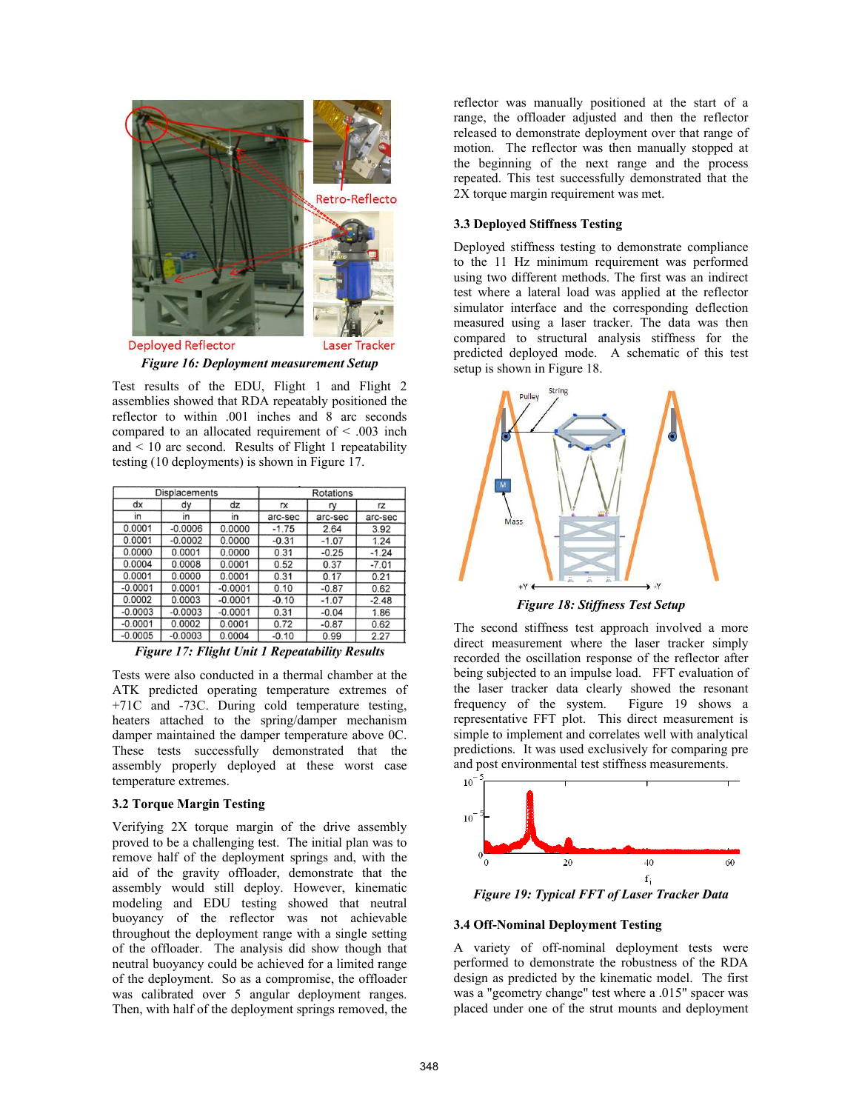

Figure 16: Deployment measurement Setup

Test results of the EDU, Flight 1 and Flight 2 assemblies showed that RDA repeatably positioned the reflector to within .001 inches and 8 arc seconds compared to an allocated requirement of < .003 inch and < 10 arc second. Results of Flight 1 repeatability testing (10 deployments) is shown in Figure 17.

| Displacements |           | Rotations |         |         |         |
|---------------|-----------|-----------|---------|---------|---------|
| dx            | dy        | dz        | rx      | ry      | rz      |
| in            | in        | in        | arc-sec | arc-sec | arc-sec |
| 0.0001        | $-0.0006$ | 0.0000    | $-1.75$ | 2.64    | 3.92    |
| 0.0001        | $-0.0002$ | 0.0000    | $-0.31$ | $-1.07$ | 1.24    |
| 0.0000        | 0.0001    | 0.0000    | 0.31    | $-0.25$ | $-1.24$ |
| 0.0004        | 0.0008    | 0.0001    | 0.52    | 0.37    | $-7.01$ |
| 0.0001        | 0.0000    | 0.0001    | 0.31    | 0.17    | 0.21    |
| $-0.0001$     | 0.0001    | $-0.0001$ | 0.10    | $-0.87$ | 0.62    |
| 0.0002        | 0.0003    | $-0.0001$ | $-0.10$ | $-1.07$ | $-2.48$ |
| $-0.0003$     | $-0.0003$ | $-0.0001$ | 0.31    | $-0.04$ | 1.86    |
| $-0.0001$     | 0.0002    | 0.0001    | 0.72    | $-0.87$ | 0.62    |
| $-0.0005$     | $-0.0003$ | 0.0004    | $-0.10$ | 0.99    | 2.27    |

Figure 17: Flight Unit 1 Repeatability Results

Tests were also conducted in a thermal chamber at the ATK predicted operating temperature extremes of +71C and -73C. During cold temperature testing, heaters attached to the spring/damper mechanism damper maintained the damper temperature above 0C. These tests successfully demonstrated that the assembly properly deployed at these worst case temperature extremes.

## 3.2 Torque Margin Testing

Verifying 2X torque margin of the drive assembly proved to be a challenging test. The initial plan was to remove half of the deployment springs and, with the aid of the gravity offloader, demonstrate that the assembly would still deploy. However, kinematic modeling and EDU testing showed that neutral buoyancy of the reflector was not achievable throughout the deployment range with a single setting of the offloader. The analysis did show though that neutral buoyancy could be achieved for a limited range of the deployment. So as a compromise, the offloader was calibrated over 5 angular deployment ranges. Then, with half of the deployment springs removed, the reflector was manually positioned at the start of a range, the offloader adjusted and then the reflector released to demonstrate deployment over that range of motion. The reflector was then manually stopped at the beginning of the next range and the process repeated. This test successfully demonstrated that the 2X torque margin requirement was met.

## 3.3 Deployed Stiffness Testing

Deployed stiffness testing to demonstrate compliance to the 11 Hz minimum requirement was performed using two different methods. The first was an indirect test where a lateral load was applied at the reflector simulator interface and the corresponding deflection measured using a laser tracker. The data was then compared to structural analysis stiffness for the predicted deployed mode. A schematic of this test setup is shown in Figure 18.



Figure 18: Stiffness Test Setup

The second stiffness test approach involved a more direct measurement where the laser tracker simply recorded the oscillation response of the reflector after being subjected to an impulse load. FFT evaluation of the laser tracker data clearly showed the resonant frequency of the system. Figure 19 shows a representative FFT plot. This direct measurement is simple to implement and correlates well with analytical predictions. It was used exclusively for comparing pre and post environmental test stiffness measurements.



Figure 19: Typical FFT of Laser Tracker Data

## 3.4 Off-Nominal Deployment Testing

A variety of off-nominal deployment tests were performed to demonstrate the robustness of the RDA design as predicted by the kinematic model. The first was a "geometry change" test where a .015" spacer was placed under one of the strut mounts and deployment